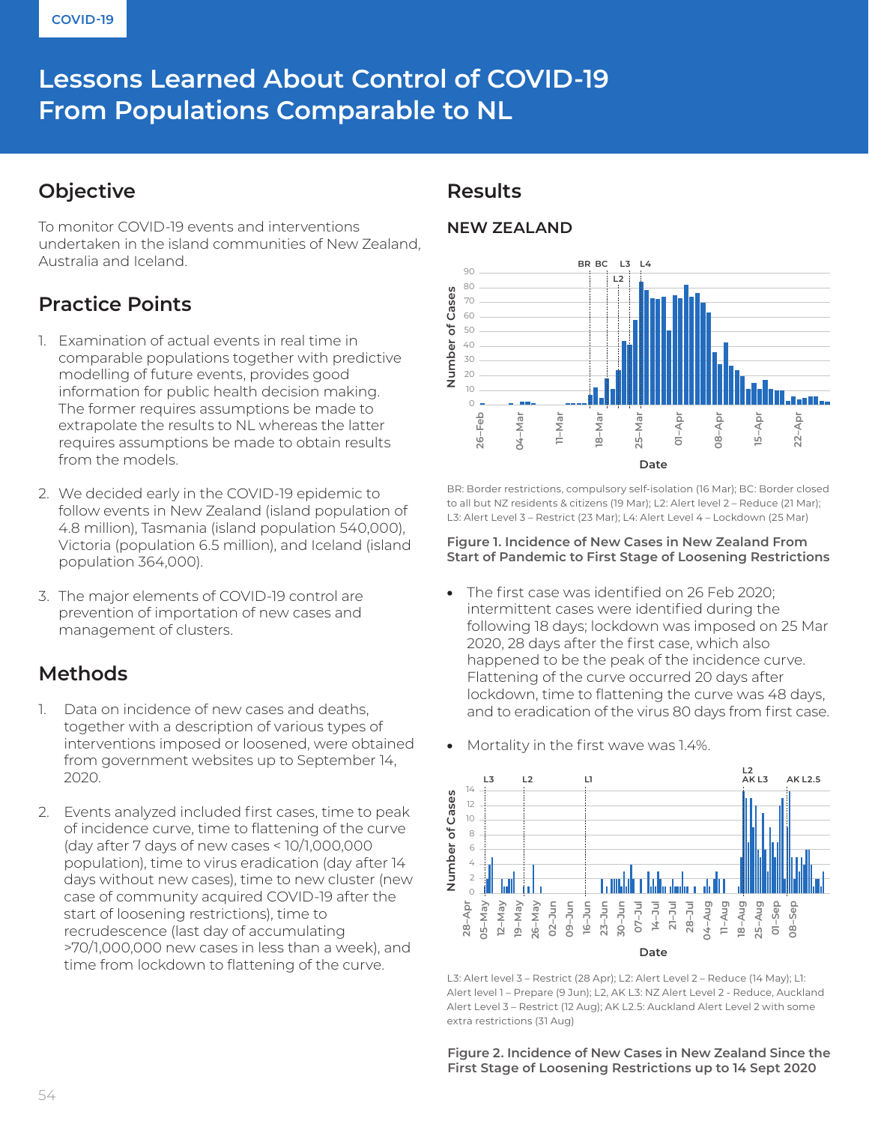# Lessons Learned About Control of COVID-19 **From Populations Comparable to NL**

## **Objective**

To monitor COVID-19 events and interventions undertaken in the island communities of New Zealand, Australia and Iceland.

## **Practice Points**

- 1. Examination of actual events in real time in comparable populations together with predictive modelling of future events, provides good information for public health decision making. The former requires assumptions be made to extrapolate the results to NL whereas the latter requires assumptions be made to obtain results from the models.
- 2. We decided early in the COVID-19 epidemic to follow events in New Zealand (island population of 4.8 million), Tasmania (island population 540,000), Victoria (population 6.5 million), and Iceland (island population 364,000).
- 3. The major elements of COVID-19 control are prevention of importation of new cases and management of clusters.

## **Methods**

- 1. Data on incidence of new cases and deaths, together with a description of various types of interventions imposed or loosened, were obtained from government websites up to September 14, 2020.
- 2. Events analyzed included first cases, time to peak of incidence curve, time to flattening of the curve (day after 7 days of new cases < 10/1,000,000 population), time to virus eradication (day after 14 days without new cases), time to new cluster (new case of community acquired COVID-19 after the start of loosening restrictions), time to recrudescence (last day of accumulating >70/1,000,000 new cases in less than a week), and time from lockdown to flattening of the curve.

### **Results**

### **NEW ZEALAND**



BR: Border restrictions, compulsory self-isolation (16 Mar); BC: Border closed to all but NZ residents & citizens (19 Mar); L2: Alert level 2 – Reduce (21 Mar);

#### **Figure 1. Incidence of New Cases in New Zealand From Start of Pandemic to First Stage of Loosening Restrictions**

- The first case was identified on 26 Feb 2020; intermittent cases were identified during the following 18 days; lockdown was imposed on 25 Mar 2020, 28 days after the first case, which also happened to be the peak of the incidence curve. Flattening of the curve occurred 20 days after lockdown, time to flattening the curve was 48 days, and to eradication of the virus 80 days from first case.
- Mortality in the first wave was 1.4%.



L3: Alert level 3 – Restrict (28 Apr); L2: Alert Level 2 – Reduce (14 May); L1: Alert level 1 – Prepare (9 Jun); L2, AK L3: NZ Alert Level 2 - Reduce, Auckland Alert Level 3 – Restrict (12 Aug); AK L2.5: Auckland Alert Level 2 with some extra restrictions (31 Aug)

**Figure 2. Incidence of New Cases in New Zealand Since the First Stage of Loosening Restrictions up to 14 Sept 2020**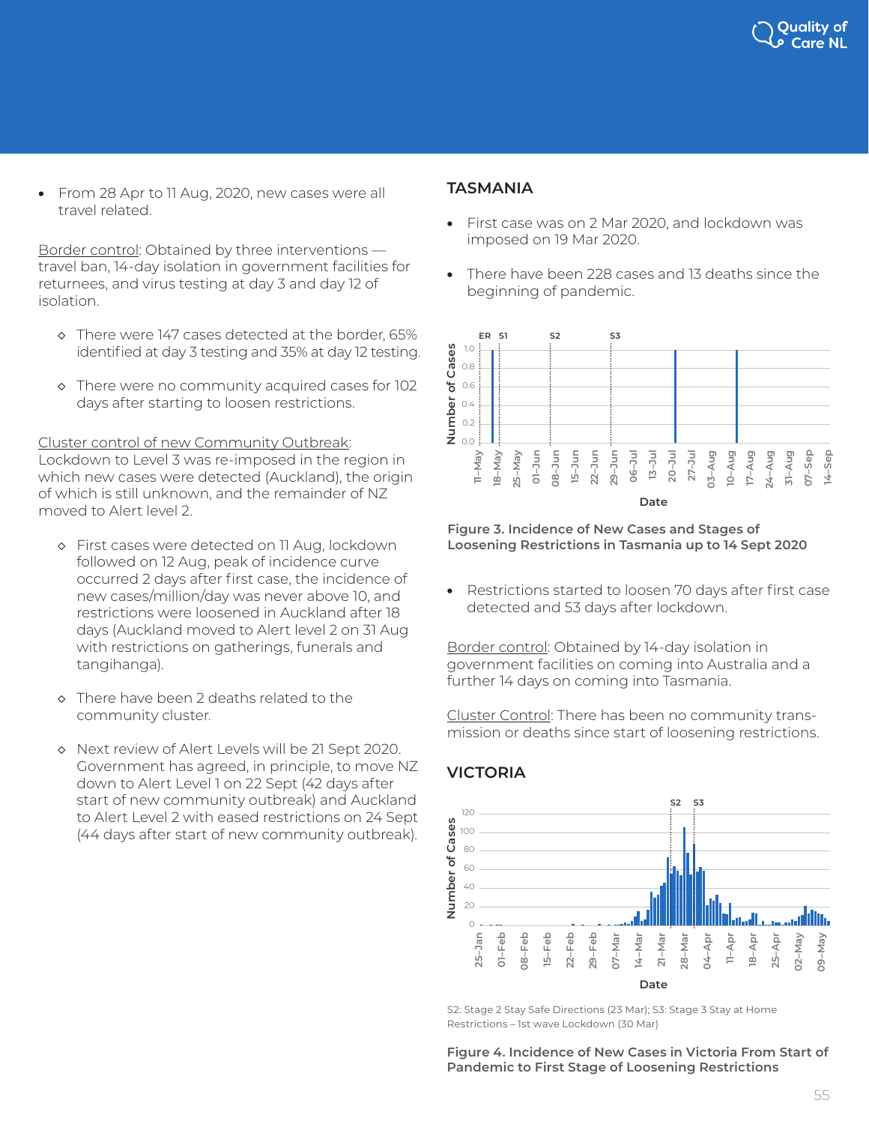

• From 28 Apr to 11 Aug, 2020, new cases were all travel related.

Border control: Obtained by three interventions travel ban, 14-day isolation in government facilities for returnees, and virus testing at day 3 and day 12 of isolation.

- ◇ There were 147 cases detected at the border, 65% identified at day 3 testing and 35% at day 12 testing.
- ◇ There were no community acquired cases for 102 days after starting to loosen restrictions.

Cluster control of new Community Outbreak: Lockdown to Level 3 was re-imposed in the region in which new cases were detected (Auckland), the origin of which is still unknown, and the remainder of NZ moved to Alert level 2.

- ◇ First cases were detected on 11 Aug, lockdown followed on 12 Aug, peak of incidence curve occurred 2 days after first case, the incidence of new cases/million/day was never above 10, and restrictions were loosened in Auckland after 18 days (Auckland moved to Alert level 2 on 31 Aug with restrictions on gatherings, funerals and tangihanga).
- ◇ There have been 2 deaths related to the community cluster.
- ◇ Next review of Alert Levels will be 21 Sept 2020. Government has agreed, in principle, to move NZ down to Alert Level 1 on 22 Sept (42 days after start of new community outbreak) and Auckland to Alert Level 2 with eased restrictions on 24 Sept (44 days after start of new community outbreak).

#### **TASMANIA**

- First case was on 2 Mar 2020, and lockdown was imposed on 19 Mar 2020.
- There have been 228 cases and 13 deaths since the beginning of pandemic.



**Figure 3. Incidence of New Cases and Stages of Loosening Restrictions in Tasmania up to 14 Sept 2020**

• Restrictions started to loosen 70 days after first case detected and 53 days after lockdown.

Border control: Obtained by 14-day isolation in government facilities on coming into Australia and a further 14 days on coming into Tasmania.

Cluster Control: There has been no community transmission or deaths since start of loosening restrictions.

### **VICTORIA**



S2: Stage 2 Stay Safe Directions (23 Mar); S3: Stage 3 Stay at Home

**Figure 4. Incidence of New Cases in Victoria From Start of Pandemic to First Stage of Loosening Restrictions**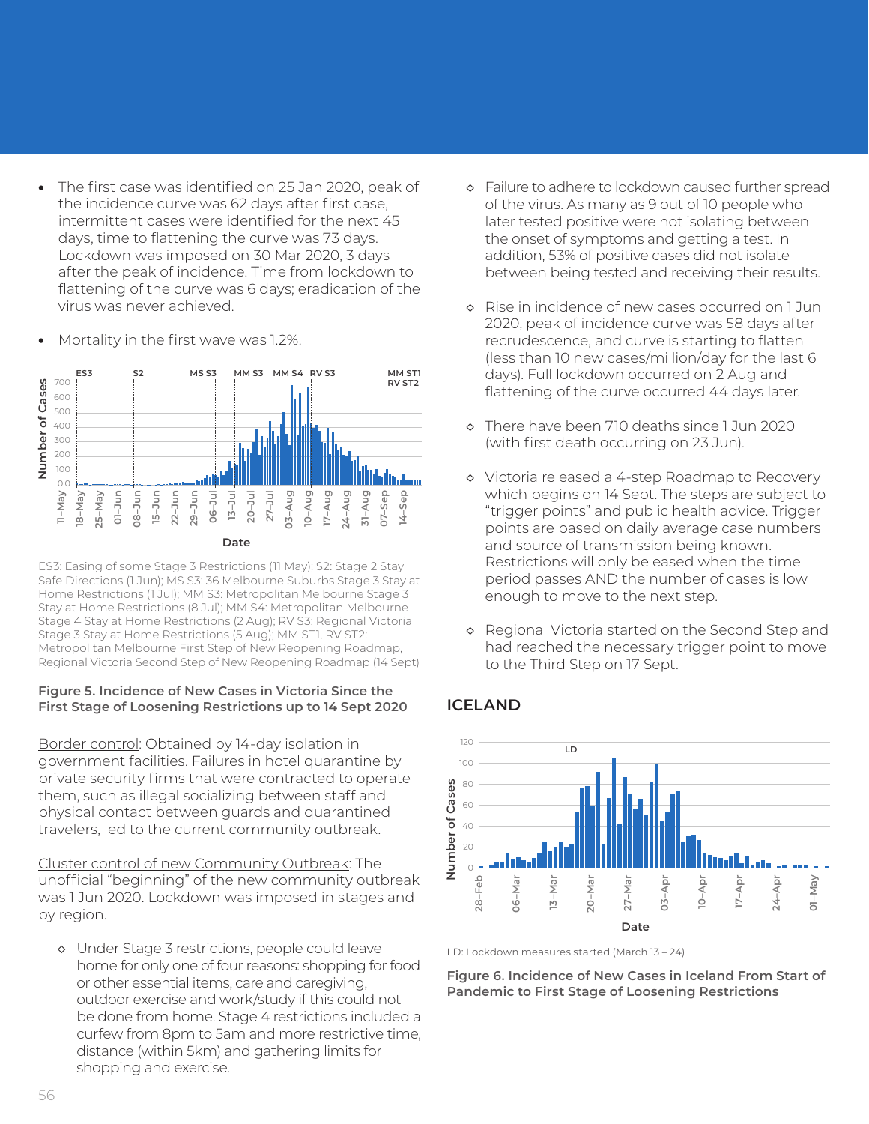• The first case was identified on 25 Jan 2020, peak of the incidence curve was 62 days after first case, intermittent cases were identified for the next 45 days, time to flattening the curve was 73 days. Lockdown was imposed on 30 Mar 2020, 3 days after the peak of incidence. Time from lockdown to flattening of the curve was 6 days; eradication of the virus was never achieved.



• Mortality in the first wave was 1.2%.

#### ES3: Easing of some Stage 3 Restrictions (11 May); S2: Stage 2 Stay Safe Directions (1 Jun); MS S3: 36 Melbourne Suburbs Stage 3 Stay at Home Restrictions (1 Jul); MM S3: Metropolitan Melbourne Stage 3 Stay at Home Restrictions (8 Jul); MM S4: Metropolitan Melbourne Stage 4 Stay at Home Restrictions (2 Aug); RV S3: Regional Victoria Stage 3 Stay at Home Restrictions (5 Aug); MM ST1, RV ST2: Metropolitan Melbourne First Step of New Reopening Roadmap,

#### **Figure 5. Incidence of New Cases in Victoria Since the First Stage of Loosening Restrictions up to 14 Sept 2020**

Border control: Obtained by 14-day isolation in government facilities. Failures in hotel quarantine by private security firms that were contracted to operate them, such as illegal socializing between staff and physical contact between guards and quarantined travelers, led to the current community outbreak.

Cluster control of new Community Outbreak: The unofficial "beginning" of the new community outbreak was 1 Jun 2020. Lockdown was imposed in stages and by region.

◇ Under Stage 3 restrictions, people could leave home for only one of four reasons: shopping for food or other essential items, care and caregiving, outdoor exercise and work/study if this could not be done from home. Stage 4 restrictions included a curfew from 8pm to 5am and more restrictive time, distance (within 5km) and gathering limits for shopping and exercise.

- ◇ Failure to adhere to lockdown caused further spread of the virus. As many as 9 out of 10 people who later tested positive were not isolating between the onset of symptoms and getting a test. In addition, 53% of positive cases did not isolate between being tested and receiving their results.
- ◇ Rise in incidence of new cases occurred on 1 Jun 2020, peak of incidence curve was 58 days after recrudescence, and curve is starting to flatten (less than 10 new cases/million/day for the last 6 days). Full lockdown occurred on 2 Aug and flattening of the curve occurred 44 days later.
- ◇ There have been 710 deaths since 1 Jun 2020 (with first death occurring on 23 Jun).
- ◇ Victoria released a 4-step Roadmap to Recovery which begins on 14 Sept. The steps are subject to "trigger points" and public health advice. Trigger points are based on daily average case numbers and source of transmission being known. Restrictions will only be eased when the time period passes AND the number of cases is low enough to move to the next step.
- ◇ Regional Victoria started on the Second Step and had reached the necessary trigger point to move to the Third Step on 17 Sept.

### **ICELAND**



LD: Lockdown measures started (March 13 – 24)

**Figure 6. Incidence of New Cases in Iceland From Start of Pandemic to First Stage of Loosening Restrictions**